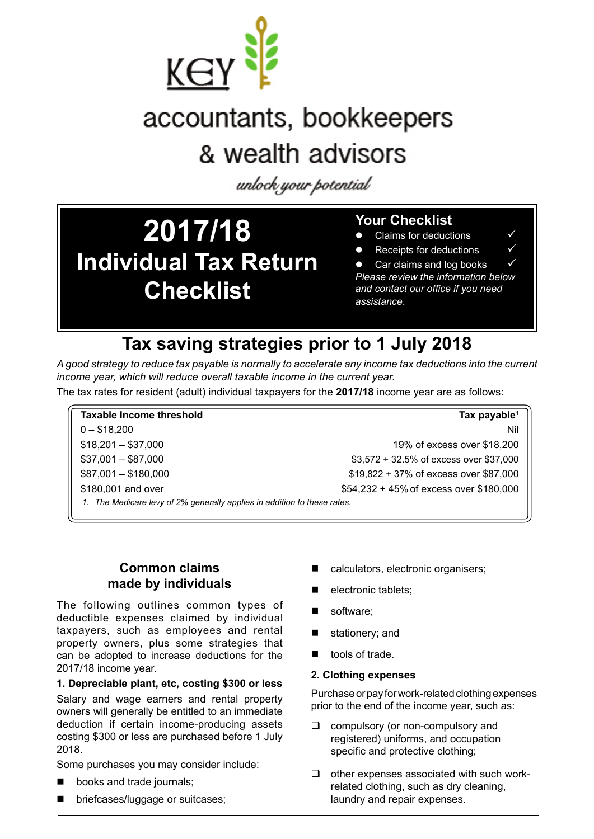

# accountants, bookkeepers & wealth advisors

unlock your potential

# **2017/18 Individual Tax Return Checklist**

# **Your Checklist**

- Claims for deductions
- Receipts for deductions

• Car claims and log books *Please review the information below and contact our office if you need assistance*.

# **Tax saving strategies prior to 1 July 2018**

*A good strategy to reduce tax payable is normally to accelerate any income tax deductions into the current income year, which will reduce overall taxable income in the current year.* 

The tax rates for resident (adult) individual taxpayers for the **2017/18** income year are as follows:

# **Taxable Income threshold Tax payable1**  0 – \$18,200 Nil \$18,201 – \$37,000 19% of excess over \$18,200 \$37,001 – \$87,000 \$3,572 + 32.5% of excess over \$37,000 \$87,001 – \$180,000 \$19,822 + 37% of excess over \$87,000 \$180,001 and over \$180,000 \$54,232 + 45% of excess over \$180,000 *1. The Medicare levy of 2% generally applies in addition to these rates.*

# **Common claims made by individuals**

The following outlines common types of deductible expenses claimed by individual taxpayers, such as employees and rental property owners, plus some strategies that can be adopted to increase deductions for the 2017/18 income year.

### **1. Depreciable plant, etc, costing \$300 or less**

Salary and wage earners and rental property owners will generally be entitled to an immediate deduction if certain income-producing assets costing \$300 or less are purchased before 1 July 2018.

Some purchases you may consider include:

- **De** books and trade journals;
- **Delacher briefcases/luggage or suitcases;**
- calculators, electronic organisers;
- electronic tablets;
- software:
- stationery; and
- tools of trade.

#### **2. Clothing expenses**

Purchase or pay for work-related clothing expenses prior to the end of the income year, such as:

- $\Box$  compulsory (or non-compulsory and registered) uniforms, and occupation specific and protective clothing;
- $\Box$  other expenses associated with such workrelated clothing, such as dry cleaning, laundry and repair expenses.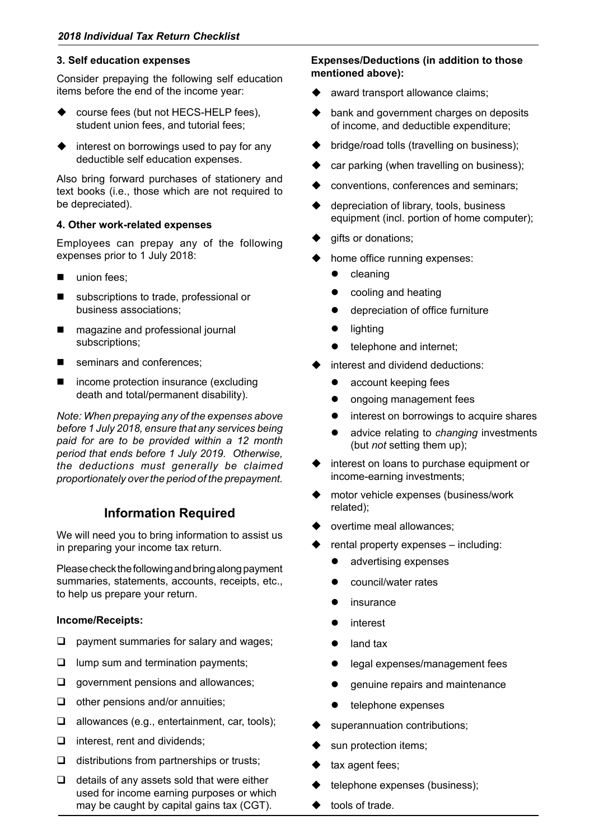#### **3. Self education expenses**

Consider prepaying the following self education items before the end of the income year:

- $\blacklozenge$  course fees (but not HECS-HELP fees), student union fees, and tutorial fees;
- $\triangle$  interest on borrowings used to pay for any deductible self education expenses.

Also bring forward purchases of stationery and text books (i.e., those which are not required to be depreciated).

#### **4. Other work-related expenses**

Employees can prepay any of the following expenses prior to 1 July 2018:

- union fees:
- subscriptions to trade, professional or business associations;
- magazine and professional journal subscriptions;
- seminars and conferences;
- $\blacksquare$  income protection insurance (excluding death and total/permanent disability).

*Note: When prepaying any of the expenses above before 1 July 2018, ensure that any services being paid for are to be provided within a 12 month period that ends before 1 July 2019. Otherwise, the deductions must generally be claimed proportionately over the period of the prepayment.*

# **Information Required**

We will need you to bring information to assist us in preparing your income tax return.

Please check the following and bring along payment summaries, statements, accounts, receipts, etc., to help us prepare your return.

#### **Income/Receipts:**

- $\Box$  payment summaries for salary and wages;
- $\Box$  lump sum and termination payments;
- $\Box$  government pensions and allowances;
- $\Box$  other pensions and/or annuities;
- $\Box$  allowances (e.g., entertainment, car, tools);
- $\Box$  interest, rent and dividends;
- $\Box$  distributions from partnerships or trusts;
- $\Box$  details of any assets sold that were either used for income earning purposes or which may be caught by capital gains tax (CGT).

#### **Expenses/Deductions (in addition to those mentioned above):**

- award transport allowance claims;
- $\blacklozenge$  bank and government charges on deposits of income, and deductible expenditure;
- bridge/road tolls (travelling on business);
- car parking (when travelling on business);
- conventions, conferences and seminars;
- $\triangleleft$  depreciation of library, tools, business equipment (incl. portion of home computer);
- gifts or donations;
- home office running expenses:
	- $\bullet$  cleaning
	- cooling and heating
	- $\bullet$  depreciation of office furniture
	- **•** lighting
	- telephone and internet;
- interest and dividend deductions:
	- account keeping fees
	- ongoing management fees
	- interest on borrowings to acquire shares
	- advice relating to *changing* investments (but *not* setting them up);
- $\bullet$  interest on loans to purchase equipment or income-earning investments;
- motor vehicle expenses (business/work related);
- overtime meal allowances;
- rental property expenses including:
	- advertising expenses
	- council/water rates
	- insurance
	- interest
	- land tax
	- legal expenses/management fees
	- genuine repairs and maintenance
	- telephone expenses
- superannuation contributions;
- sun protection items;
- tax agent fees;
- telephone expenses (business);
- tools of trade.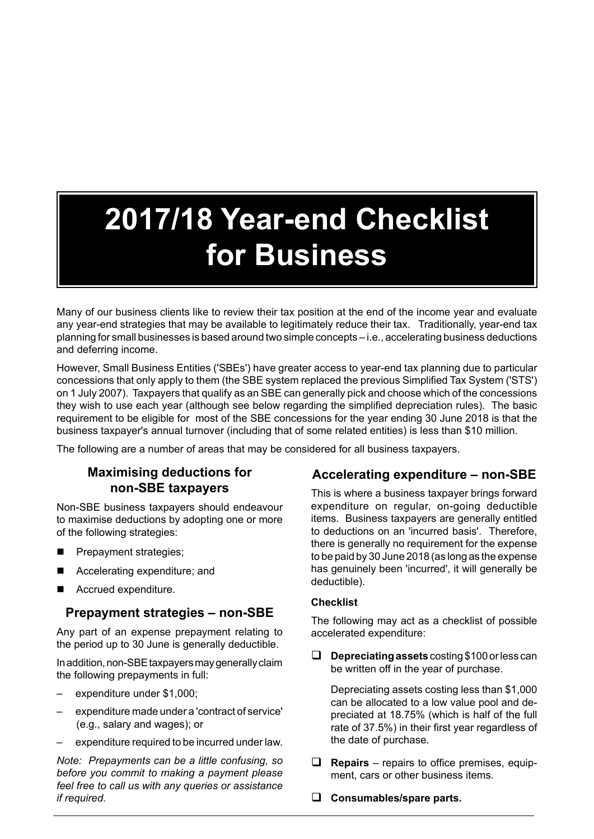# **2017/18 Year-end Checklist for Business**

Many of our business clients like to review their tax position at the end of the income year and evaluate any year-end strategies that may be available to legitimately reduce their tax. Traditionally, year-end tax planning for small businesses is based around two simple concepts – i.e., accelerating business deductions and deferring income.

However, Small Business Entities ('SBEs') have greater access to year-end tax planning due to particular concessions that only apply to them (the SBE system replaced the previous Simplified Tax System ('STS') on 1 July 2007). Taxpayers that qualify as an SBE can generally pick and choose which of the concessions they wish to use each year (although see below regarding the simplified depreciation rules). The basic requirement to be eligible for most of the SBE concessions for the year ending 30 June 2018 is that the business taxpayer's annual turnover (including that of some related entities) is less than \$10 million.

The following are a number of areas that may be considered for all business taxpayers.

# **Maximising deductions for non-SBE taxpayers**

Non-SBE business taxpayers should endeavour to maximise deductions by adopting one or more of the following strategies:

- **Prepayment strategies;**
- Accelerating expenditure; and
- Accrued expenditure.

### **Prepayment strategies – non-SBE**

Any part of an expense prepayment relating to the period up to 30 June is generally deductible.

In addition, non-SBE taxpayers may generally claim the following prepayments in full:

- expenditure under \$1,000;
- expenditure made under a 'contract of service' (e.g., salary and wages); or
- expenditure required to be incurred under law.

*Note: Prepayments can be a little confusing, so before you commit to making a payment please feel free to call us with any queries or assistance if required.*

### **Accelerating expenditure – non-SBE**

This is where a business taxpayer brings forward expenditure on regular, on-going deductible items. Business taxpayers are generally entitled to deductions on an 'incurred basis'. Therefore, there is generally no requirement for the expense to be paid by 30 June 2018 (as long as the expense has genuinely been 'incurred', it will generally be deductible).

#### **Checklist**

The following may act as a checklist of possible accelerated expenditure:

**Q** Depreciating assets costing \$100 or less can be written off in the year of purchase.

Depreciating assets costing less than \$1,000 can be allocated to a low value pool and depreciated at 18.75% (which is half of the full rate of 37.5%) in their first year regardless of the date of purchase.

- $\Box$  **Repairs** repairs to office premises, equipment, cars or other business items.
- □ Consumables/spare parts.